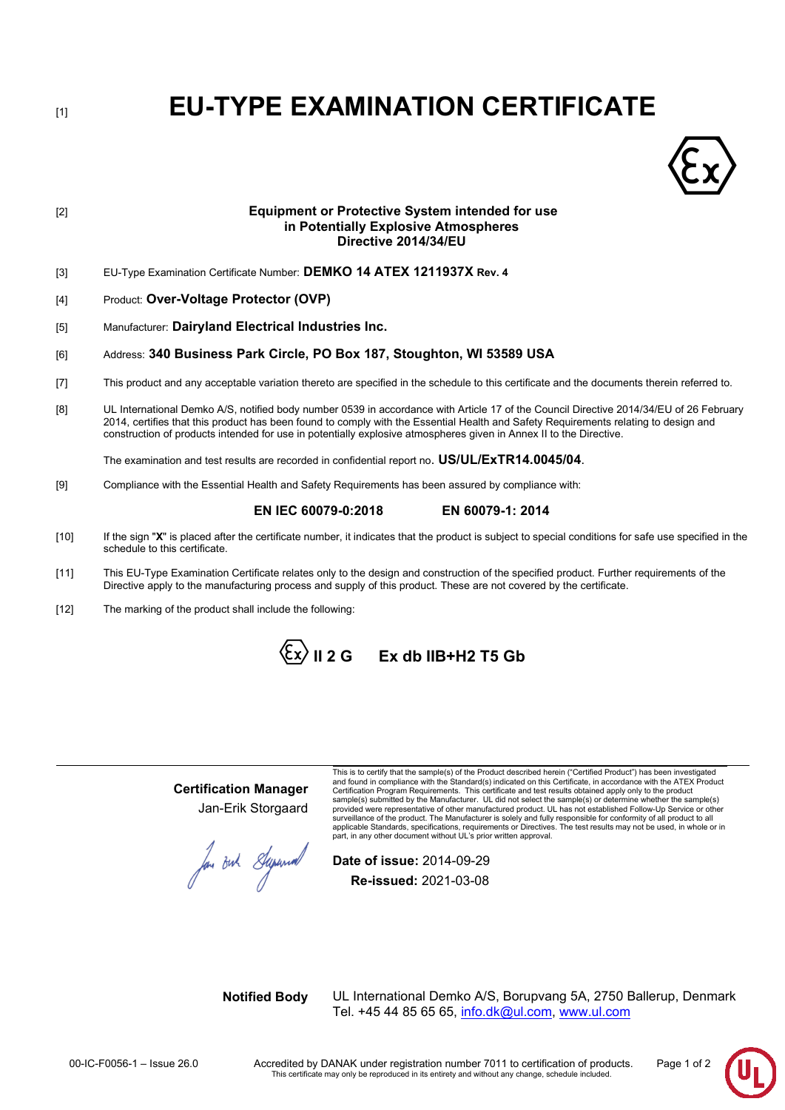[1] **EU-TYPE EXAMINATION CERTIFICATE**



# [2] **Equipment or Protective System intended for use in Potentially Explosive Atmospheres Directive 2014/34/EU**

- [3] EU-Type Examination Certificate Number: **DEMKO 14 ATEX 1211937X Rev. 4**
- [4] Product: **Over-Voltage Protector (OVP)**
- [5] Manufacturer: **Dairyland Electrical Industries Inc.**

# [6] Address: **340 Business Park Circle, PO Box 187, Stoughton, WI 53589 USA**

- [7] This product and any acceptable variation thereto are specified in the schedule to this certificate and the documents therein referred to.
- [8] UL International Demko A/S, notified body number 0539 in accordance with Article 17 of the Council Directive 2014/34/EU of 26 February 2014, certifies that this product has been found to comply with the Essential Health and Safety Requirements relating to design and construction of products intended for use in potentially explosive atmospheres given in Annex II to the Directive.

The examination and test results are recorded in confidential report no. **US/UL/ExTR14.0045/04**.

[9] Compliance with the Essential Health and Safety Requirements has been assured by compliance with:

# **EN IEC 60079-0:2018 EN 60079-1: 2014**

- [10] If the sign "**X**" is placed after the certificate number, it indicates that the product is subject to special conditions for safe use specified in the schedule to this certificate.
- [11] This EU-Type Examination Certificate relates only to the design and construction of the specified product. Further requirements of the Directive apply to the manufacturing process and supply of this product. These are not covered by the certificate.
- [12] The marking of the product shall include the following:

 $\langle \mathbf{\hat{E}} \mathbf{x} \rangle$  II 2 G  $\;$  Ex db IIB+H2 T5 Gb

# **Certification Manager** Jan-Erik Storgaard

fou out Superior

This is to certify that the sample(s) of the Product described herein ("Certified Product") has been investigated and found in compliance with the Standard(s) indicated on this Certificate, in accordance with the ATEX Product Certification Program Requirements. This certificate and test results obtained apply only to the product sample(s) submitted by the Manufacturer. UL did not select the sample(s) or determine whether the sample(s) provided were representative of other manufactured product. UL has not established Follow-Up Service or other<br>surveillance of the product. The Manufacturer is solely and fully responsible for conformity of all product to a applicable Standards, specifications, requirements or Directives. The test results may not be used, in whole or in part, in any other document without UL's prior written approval.

**Date of issue:** 2014-09-29 **Re-issued:** 2021-03-08

**Notified Body** UL International Demko A/S, Borupvang 5A, 2750 Ballerup, Denmark Tel. +45 44 85 65 65, info.dk@ul.com, [www.ul.com](http://www.ul.com/)

00-IC-F0056-1 – Issue 26.0 Accredited by DANAK under registration number 7011 to certification of products. Page 1 of 2<br>This certificate may only be reproduced in its entirety and without any change, schedule included.